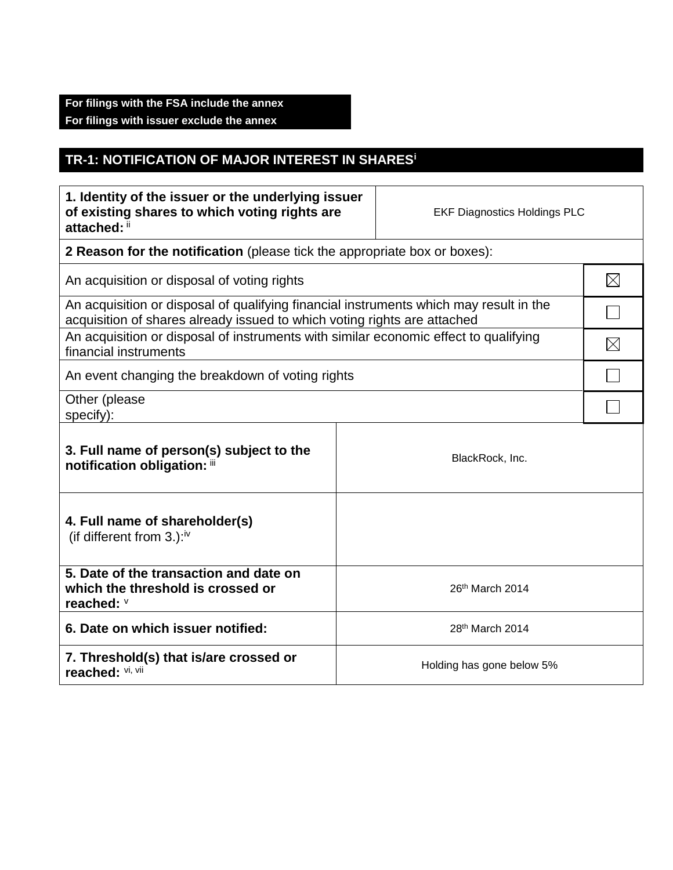## **For filings with the FSA include the annex For filings with issuer exclude the annex**

## **TR-1: NOTIFICATION OF MAJOR INTEREST IN SHARES<sup>i</sup>**

| 1. Identity of the issuer or the underlying issuer<br>of existing shares to which voting rights are<br>attached: ii                                                |  | <b>EKF Diagnostics Holdings PLC</b> |             |  |
|--------------------------------------------------------------------------------------------------------------------------------------------------------------------|--|-------------------------------------|-------------|--|
| 2 Reason for the notification (please tick the appropriate box or boxes):                                                                                          |  |                                     |             |  |
| An acquisition or disposal of voting rights                                                                                                                        |  |                                     | $\boxtimes$ |  |
| An acquisition or disposal of qualifying financial instruments which may result in the<br>acquisition of shares already issued to which voting rights are attached |  |                                     |             |  |
| An acquisition or disposal of instruments with similar economic effect to qualifying<br>financial instruments                                                      |  |                                     | $\boxtimes$ |  |
| An event changing the breakdown of voting rights                                                                                                                   |  |                                     |             |  |
| Other (please<br>specify):                                                                                                                                         |  |                                     |             |  |
| 3. Full name of person(s) subject to the<br>notification obligation: iii                                                                                           |  | BlackRock, Inc.                     |             |  |
| 4. Full name of shareholder(s)<br>(if different from $3.$ ): <sup>iv</sup>                                                                                         |  |                                     |             |  |
| 5. Date of the transaction and date on<br>which the threshold is crossed or<br>reached: V                                                                          |  | 26th March 2014                     |             |  |
| 6. Date on which issuer notified:                                                                                                                                  |  | 28th March 2014                     |             |  |
| 7. Threshold(s) that is/are crossed or<br>reached: VI, VII                                                                                                         |  | Holding has gone below 5%           |             |  |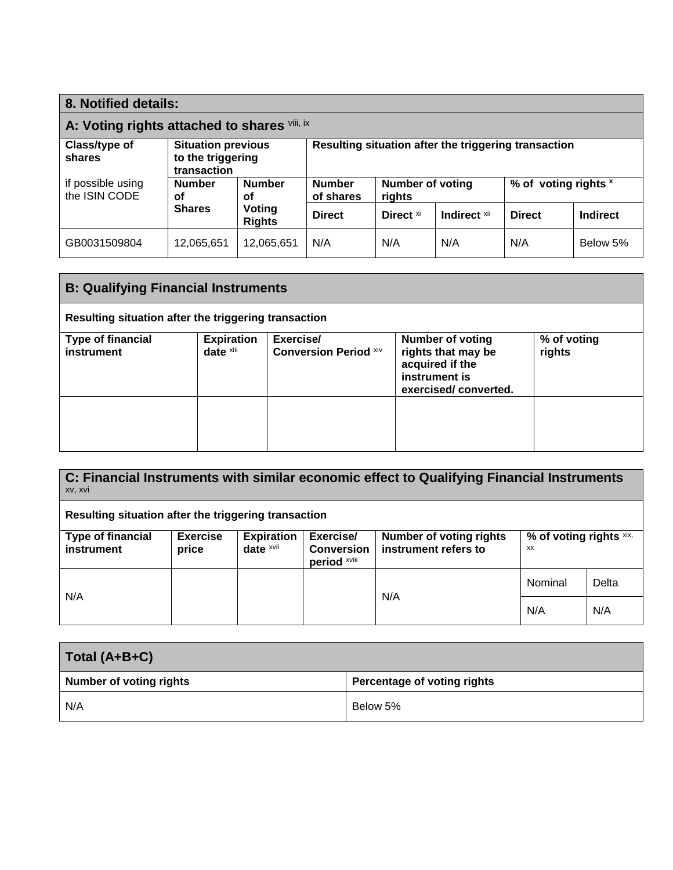| 8. Notified details:                         |                                                               |               |                                                                                         |              |               |          |          |
|----------------------------------------------|---------------------------------------------------------------|---------------|-----------------------------------------------------------------------------------------|--------------|---------------|----------|----------|
| A: Voting rights attached to shares Vill, ix |                                                               |               |                                                                                         |              |               |          |          |
| Class/type of<br>shares                      | <b>Situation previous</b><br>to the triggering<br>transaction |               | Resulting situation after the triggering transaction                                    |              |               |          |          |
| if possible using<br>the ISIN CODE           | <b>Number</b><br><b>Number</b><br>Οf<br>οf                    |               | <b>Number</b><br><b>Number of voting</b><br>% of voting rights x<br>of shares<br>rights |              |               |          |          |
| <b>Shares</b><br>Voting<br><b>Rights</b>     |                                                               | <b>Direct</b> | Direct <sup>xi</sup>                                                                    | Indirect xii | <b>Direct</b> | Indirect |          |
| GB0031509804                                 | 12,065,651                                                    | 12,065,651    | N/A                                                                                     | N/A          | N/A           | N/A      | Below 5% |

| <b>B: Qualifying Financial Instruments</b>           |                                |                                           |                                                                                                           |                       |
|------------------------------------------------------|--------------------------------|-------------------------------------------|-----------------------------------------------------------------------------------------------------------|-----------------------|
| Resulting situation after the triggering transaction |                                |                                           |                                                                                                           |                       |
| <b>Type of financial</b><br>instrument               | <b>Expiration</b><br>date xiii | Exercise/<br><b>Conversion Period xiv</b> | <b>Number of voting</b><br>rights that may be<br>acquired if the<br>instrument is<br>exercised/converted. | % of voting<br>rights |
|                                                      |                                |                                           |                                                                                                           |                       |

**C: Financial Instruments with similar economic effect to Qualifying Financial Instruments**  xv, xvi

**Resulting situation after the triggering transaction**

| <b>Type of financial</b><br>instrument | <b>Exercise</b><br>price | <b>Expiration</b><br>date $x$ vii | Exercise/<br><b>Conversion</b><br>period XVIII | <b>Number of voting rights</b><br>instrument refers to | % of voting rights xix,<br>XX |  |
|----------------------------------------|--------------------------|-----------------------------------|------------------------------------------------|--------------------------------------------------------|-------------------------------|--|
| N/A<br>N/A                             |                          | Nominal                           | Delta                                          |                                                        |                               |  |
|                                        |                          | N/A                               | N/A                                            |                                                        |                               |  |

| Total (A+B+C)                  |                             |
|--------------------------------|-----------------------------|
| <b>Number of voting rights</b> | Percentage of voting rights |
| N/A                            | Below 5%                    |